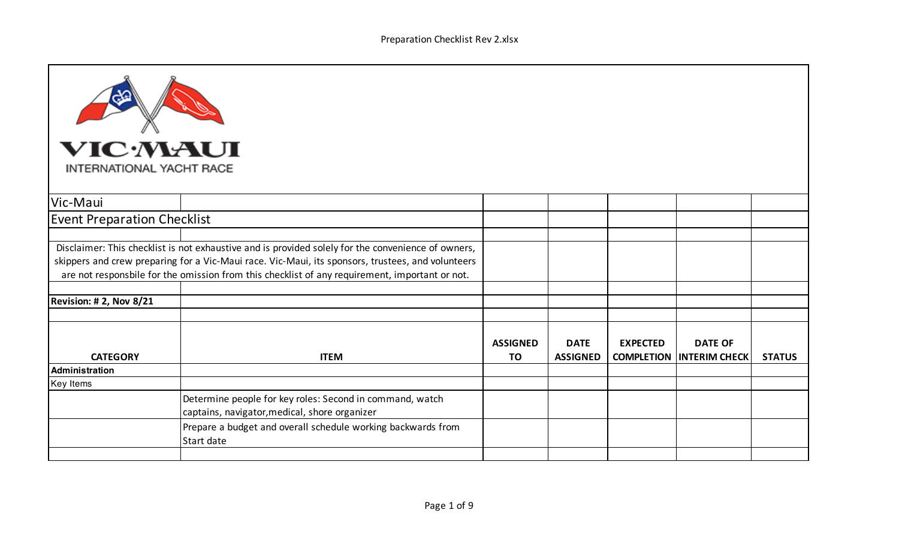| <b>VIC MAUI</b><br>INTERNATIONAL YACHT RACE                                                                                                                                                                                                                                                               |                                                                                                           |                              |                                |                 |                                                   |               |
|-----------------------------------------------------------------------------------------------------------------------------------------------------------------------------------------------------------------------------------------------------------------------------------------------------------|-----------------------------------------------------------------------------------------------------------|------------------------------|--------------------------------|-----------------|---------------------------------------------------|---------------|
| Vic-Maui                                                                                                                                                                                                                                                                                                  |                                                                                                           |                              |                                |                 |                                                   |               |
| <b>Event Preparation Checklist</b>                                                                                                                                                                                                                                                                        |                                                                                                           |                              |                                |                 |                                                   |               |
|                                                                                                                                                                                                                                                                                                           |                                                                                                           |                              |                                |                 |                                                   |               |
| Disclaimer: This checklist is not exhaustive and is provided solely for the convenience of owners,<br>skippers and crew preparing for a Vic-Maui race. Vic-Maui, its sponsors, trustees, and volunteers<br>are not responsbile for the omission from this checklist of any requirement, important or not. |                                                                                                           |                              |                                |                 |                                                   |               |
| <b>Revision: # 2, Nov 8/21</b>                                                                                                                                                                                                                                                                            |                                                                                                           |                              |                                |                 |                                                   |               |
|                                                                                                                                                                                                                                                                                                           |                                                                                                           |                              |                                |                 |                                                   |               |
| <b>CATEGORY</b>                                                                                                                                                                                                                                                                                           | <b>ITEM</b>                                                                                               | <b>ASSIGNED</b><br><b>TO</b> | <b>DATE</b><br><b>ASSIGNED</b> | <b>EXPECTED</b> | <b>DATE OF</b><br><b>COMPLETION INTERIM CHECK</b> | <b>STATUS</b> |
| <b>Administration</b>                                                                                                                                                                                                                                                                                     |                                                                                                           |                              |                                |                 |                                                   |               |
| <b>Key Items</b>                                                                                                                                                                                                                                                                                          |                                                                                                           |                              |                                |                 |                                                   |               |
|                                                                                                                                                                                                                                                                                                           | Determine people for key roles: Second in command, watch<br>captains, navigator, medical, shore organizer |                              |                                |                 |                                                   |               |
|                                                                                                                                                                                                                                                                                                           | Prepare a budget and overall schedule working backwards from<br>Start date                                |                              |                                |                 |                                                   |               |
|                                                                                                                                                                                                                                                                                                           |                                                                                                           |                              |                                |                 |                                                   |               |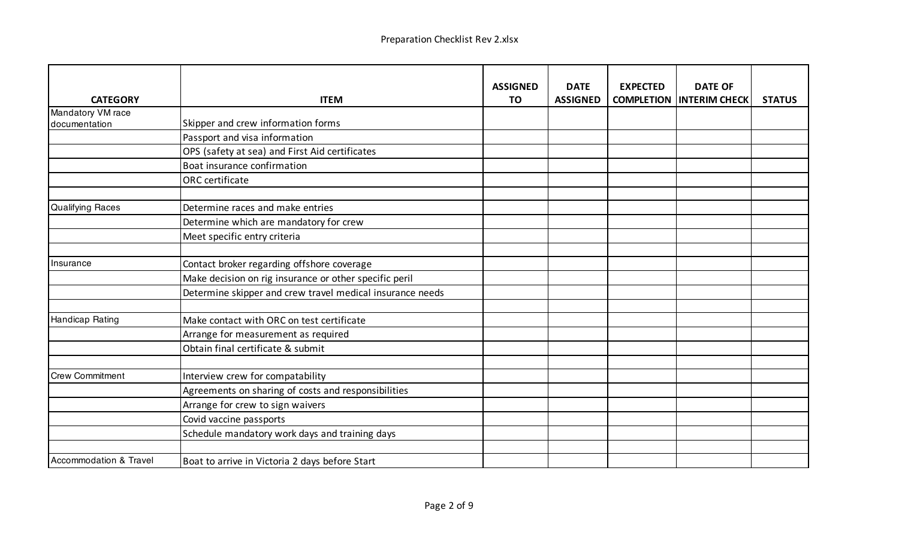| <b>CATEGORY</b>                   | <b>ITEM</b>                                               | <b>ASSIGNED</b><br>TO | <b>DATE</b><br><b>ASSIGNED</b> | <b>EXPECTED</b> | <b>DATE OF</b><br><b>COMPLETION INTERIM CHECK</b> | <b>STATUS</b> |
|-----------------------------------|-----------------------------------------------------------|-----------------------|--------------------------------|-----------------|---------------------------------------------------|---------------|
| Mandatory VM race                 |                                                           |                       |                                |                 |                                                   |               |
| documentation                     | Skipper and crew information forms                        |                       |                                |                 |                                                   |               |
|                                   | Passport and visa information                             |                       |                                |                 |                                                   |               |
|                                   | OPS (safety at sea) and First Aid certificates            |                       |                                |                 |                                                   |               |
|                                   | Boat insurance confirmation                               |                       |                                |                 |                                                   |               |
|                                   | ORC certificate                                           |                       |                                |                 |                                                   |               |
| <b>Qualifying Races</b>           | Determine races and make entries                          |                       |                                |                 |                                                   |               |
|                                   | Determine which are mandatory for crew                    |                       |                                |                 |                                                   |               |
|                                   | Meet specific entry criteria                              |                       |                                |                 |                                                   |               |
|                                   |                                                           |                       |                                |                 |                                                   |               |
| Insurance                         | Contact broker regarding offshore coverage                |                       |                                |                 |                                                   |               |
|                                   | Make decision on rig insurance or other specific peril    |                       |                                |                 |                                                   |               |
|                                   | Determine skipper and crew travel medical insurance needs |                       |                                |                 |                                                   |               |
| Handicap Rating                   | Make contact with ORC on test certificate                 |                       |                                |                 |                                                   |               |
|                                   | Arrange for measurement as required                       |                       |                                |                 |                                                   |               |
|                                   | Obtain final certificate & submit                         |                       |                                |                 |                                                   |               |
|                                   |                                                           |                       |                                |                 |                                                   |               |
| <b>Crew Commitment</b>            | Interview crew for compatability                          |                       |                                |                 |                                                   |               |
|                                   | Agreements on sharing of costs and responsibilities       |                       |                                |                 |                                                   |               |
|                                   | Arrange for crew to sign waivers                          |                       |                                |                 |                                                   |               |
|                                   | Covid vaccine passports                                   |                       |                                |                 |                                                   |               |
|                                   | Schedule mandatory work days and training days            |                       |                                |                 |                                                   |               |
|                                   |                                                           |                       |                                |                 |                                                   |               |
| <b>Accommodation &amp; Travel</b> | Boat to arrive in Victoria 2 days before Start            |                       |                                |                 |                                                   |               |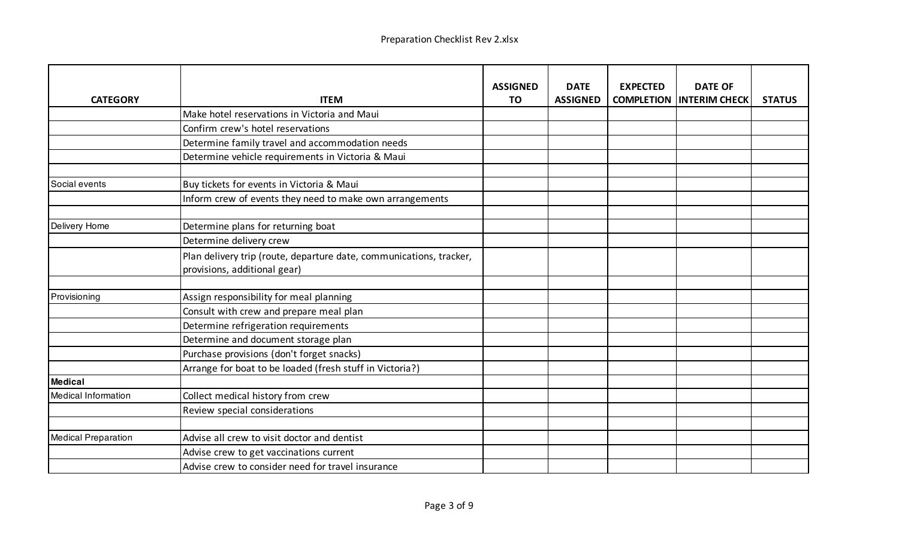| <b>CATEGORY</b>            | <b>ITEM</b>                                                                                         | <b>ASSIGNED</b><br>TO | <b>DATE</b><br><b>ASSIGNED</b> | <b>EXPECTED</b><br><b>COMPLETION</b> | <b>DATE OF</b><br><b>INTERIM CHECK</b> | <b>STATUS</b> |
|----------------------------|-----------------------------------------------------------------------------------------------------|-----------------------|--------------------------------|--------------------------------------|----------------------------------------|---------------|
|                            | Make hotel reservations in Victoria and Maui                                                        |                       |                                |                                      |                                        |               |
|                            | Confirm crew's hotel reservations                                                                   |                       |                                |                                      |                                        |               |
|                            | Determine family travel and accommodation needs                                                     |                       |                                |                                      |                                        |               |
|                            | Determine vehicle requirements in Victoria & Maui                                                   |                       |                                |                                      |                                        |               |
|                            |                                                                                                     |                       |                                |                                      |                                        |               |
| Social events              | Buy tickets for events in Victoria & Maui                                                           |                       |                                |                                      |                                        |               |
|                            | Inform crew of events they need to make own arrangements                                            |                       |                                |                                      |                                        |               |
|                            |                                                                                                     |                       |                                |                                      |                                        |               |
| Delivery Home              | Determine plans for returning boat                                                                  |                       |                                |                                      |                                        |               |
|                            | Determine delivery crew                                                                             |                       |                                |                                      |                                        |               |
|                            | Plan delivery trip (route, departure date, communications, tracker,<br>provisions, additional gear) |                       |                                |                                      |                                        |               |
|                            |                                                                                                     |                       |                                |                                      |                                        |               |
| Provisioning               | Assign responsibility for meal planning                                                             |                       |                                |                                      |                                        |               |
|                            | Consult with crew and prepare meal plan                                                             |                       |                                |                                      |                                        |               |
|                            | Determine refrigeration requirements                                                                |                       |                                |                                      |                                        |               |
|                            | Determine and document storage plan                                                                 |                       |                                |                                      |                                        |               |
|                            | Purchase provisions (don't forget snacks)                                                           |                       |                                |                                      |                                        |               |
|                            | Arrange for boat to be loaded (fresh stuff in Victoria?)                                            |                       |                                |                                      |                                        |               |
| <b>Medical</b>             |                                                                                                     |                       |                                |                                      |                                        |               |
| <b>Medical Information</b> | Collect medical history from crew                                                                   |                       |                                |                                      |                                        |               |
|                            | Review special considerations                                                                       |                       |                                |                                      |                                        |               |
|                            |                                                                                                     |                       |                                |                                      |                                        |               |
| <b>Medical Preparation</b> | Advise all crew to visit doctor and dentist                                                         |                       |                                |                                      |                                        |               |
|                            | Advise crew to get vaccinations current                                                             |                       |                                |                                      |                                        |               |
|                            | Advise crew to consider need for travel insurance                                                   |                       |                                |                                      |                                        |               |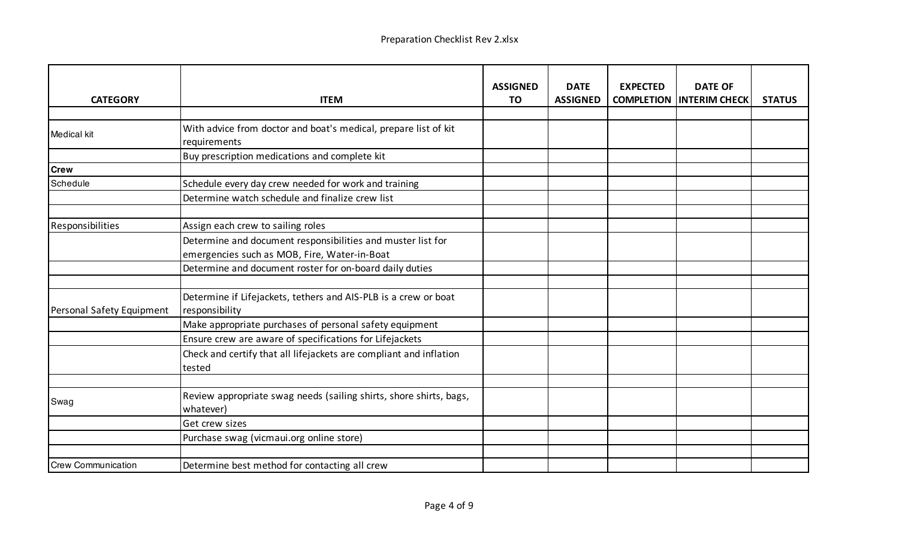| <b>CATEGORY</b>           | <b>ITEM</b>                                                                                                 | <b>ASSIGNED</b><br>TO | <b>DATE</b><br><b>ASSIGNED</b> | <b>EXPECTED</b><br><b>COMPLETION</b> | <b>DATE OF</b><br><b>INTERIM CHECK</b> | <b>STATUS</b> |
|---------------------------|-------------------------------------------------------------------------------------------------------------|-----------------------|--------------------------------|--------------------------------------|----------------------------------------|---------------|
|                           |                                                                                                             |                       |                                |                                      |                                        |               |
| <b>Medical kit</b>        | With advice from doctor and boat's medical, prepare list of kit<br>requirements                             |                       |                                |                                      |                                        |               |
|                           | Buy prescription medications and complete kit                                                               |                       |                                |                                      |                                        |               |
| <b>Crew</b>               |                                                                                                             |                       |                                |                                      |                                        |               |
| Schedule                  | Schedule every day crew needed for work and training                                                        |                       |                                |                                      |                                        |               |
|                           | Determine watch schedule and finalize crew list                                                             |                       |                                |                                      |                                        |               |
|                           |                                                                                                             |                       |                                |                                      |                                        |               |
| Responsibilities          | Assign each crew to sailing roles                                                                           |                       |                                |                                      |                                        |               |
|                           | Determine and document responsibilities and muster list for<br>emergencies such as MOB, Fire, Water-in-Boat |                       |                                |                                      |                                        |               |
|                           | Determine and document roster for on-board daily duties                                                     |                       |                                |                                      |                                        |               |
|                           |                                                                                                             |                       |                                |                                      |                                        |               |
| Personal Safety Equipment | Determine if Lifejackets, tethers and AIS-PLB is a crew or boat<br>responsibility                           |                       |                                |                                      |                                        |               |
|                           | Make appropriate purchases of personal safety equipment                                                     |                       |                                |                                      |                                        |               |
|                           | Ensure crew are aware of specifications for Lifejackets                                                     |                       |                                |                                      |                                        |               |
|                           | Check and certify that all lifejackets are compliant and inflation<br>tested                                |                       |                                |                                      |                                        |               |
|                           |                                                                                                             |                       |                                |                                      |                                        |               |
| Swag                      | Review appropriate swag needs (sailing shirts, shore shirts, bags,<br>whatever)                             |                       |                                |                                      |                                        |               |
|                           | Get crew sizes                                                                                              |                       |                                |                                      |                                        |               |
|                           | Purchase swag (vicmaui.org online store)                                                                    |                       |                                |                                      |                                        |               |
|                           |                                                                                                             |                       |                                |                                      |                                        |               |
| <b>Crew Communication</b> | Determine best method for contacting all crew                                                               |                       |                                |                                      |                                        |               |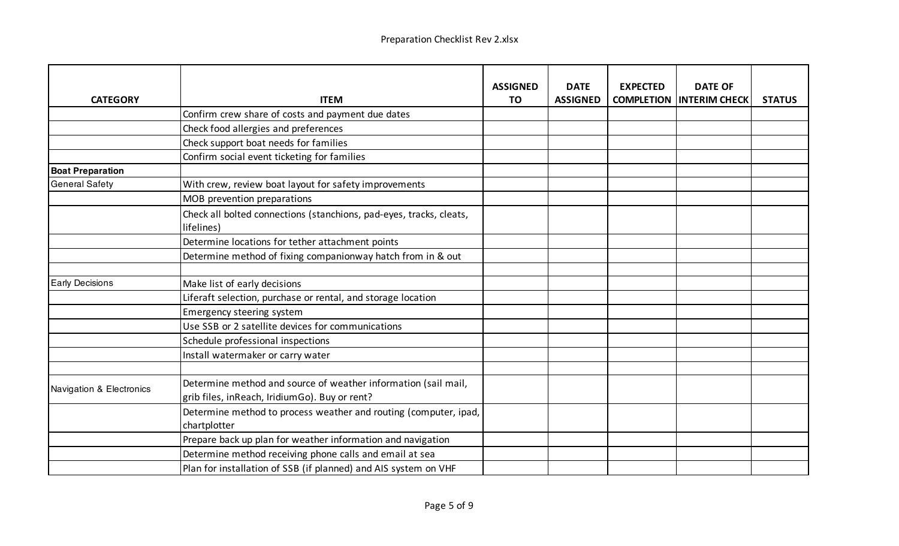| <b>CATEGORY</b>          | <b>ITEM</b>                                                                                                     | <b>ASSIGNED</b><br>TO | <b>DATE</b><br><b>ASSIGNED</b> | <b>EXPECTED</b><br><b>COMPLETION</b> | <b>DATE OF</b><br><b>INTERIM CHECK</b> | <b>STATUS</b> |
|--------------------------|-----------------------------------------------------------------------------------------------------------------|-----------------------|--------------------------------|--------------------------------------|----------------------------------------|---------------|
|                          | Confirm crew share of costs and payment due dates                                                               |                       |                                |                                      |                                        |               |
|                          | Check food allergies and preferences                                                                            |                       |                                |                                      |                                        |               |
|                          | Check support boat needs for families                                                                           |                       |                                |                                      |                                        |               |
|                          | Confirm social event ticketing for families                                                                     |                       |                                |                                      |                                        |               |
| <b>Boat Preparation</b>  |                                                                                                                 |                       |                                |                                      |                                        |               |
| <b>General Safety</b>    | With crew, review boat layout for safety improvements                                                           |                       |                                |                                      |                                        |               |
|                          | MOB prevention preparations                                                                                     |                       |                                |                                      |                                        |               |
|                          | Check all bolted connections (stanchions, pad-eyes, tracks, cleats,<br>lifelines)                               |                       |                                |                                      |                                        |               |
|                          | Determine locations for tether attachment points                                                                |                       |                                |                                      |                                        |               |
|                          | Determine method of fixing companionway hatch from in & out                                                     |                       |                                |                                      |                                        |               |
|                          |                                                                                                                 |                       |                                |                                      |                                        |               |
| <b>Early Decisions</b>   | Make list of early decisions                                                                                    |                       |                                |                                      |                                        |               |
|                          | Liferaft selection, purchase or rental, and storage location                                                    |                       |                                |                                      |                                        |               |
|                          | Emergency steering system                                                                                       |                       |                                |                                      |                                        |               |
|                          | Use SSB or 2 satellite devices for communications                                                               |                       |                                |                                      |                                        |               |
|                          | Schedule professional inspections                                                                               |                       |                                |                                      |                                        |               |
|                          | Install watermaker or carry water                                                                               |                       |                                |                                      |                                        |               |
|                          |                                                                                                                 |                       |                                |                                      |                                        |               |
| Navigation & Electronics | Determine method and source of weather information (sail mail,<br>grib files, inReach, IridiumGo). Buy or rent? |                       |                                |                                      |                                        |               |
|                          | Determine method to process weather and routing (computer, ipad,<br>chartplotter                                |                       |                                |                                      |                                        |               |
|                          | Prepare back up plan for weather information and navigation                                                     |                       |                                |                                      |                                        |               |
|                          | Determine method receiving phone calls and email at sea                                                         |                       |                                |                                      |                                        |               |
|                          | Plan for installation of SSB (if planned) and AIS system on VHF                                                 |                       |                                |                                      |                                        |               |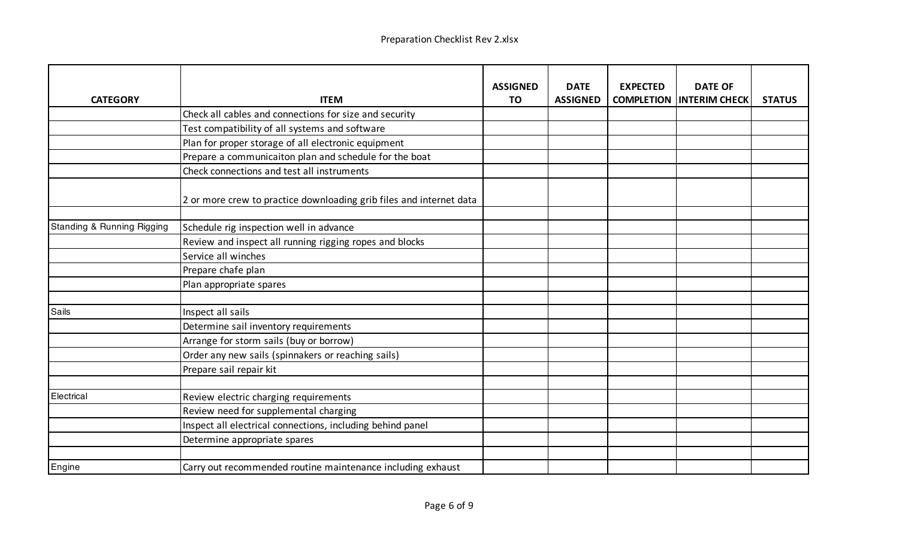| <b>CATEGORY</b>            | <b>ITEM</b>                                                         | <b>ASSIGNED</b><br><b>TO</b> | <b>DATE</b><br><b>ASSIGNED</b> | <b>EXPECTED</b><br><b>COMPLETION</b> | <b>DATE OF</b><br><b>INTERIM CHECK</b> | <b>STATUS</b> |
|----------------------------|---------------------------------------------------------------------|------------------------------|--------------------------------|--------------------------------------|----------------------------------------|---------------|
|                            | Check all cables and connections for size and security              |                              |                                |                                      |                                        |               |
|                            | Test compatibility of all systems and software                      |                              |                                |                                      |                                        |               |
|                            | Plan for proper storage of all electronic equipment                 |                              |                                |                                      |                                        |               |
|                            | Prepare a communicaiton plan and schedule for the boat              |                              |                                |                                      |                                        |               |
|                            | Check connections and test all instruments                          |                              |                                |                                      |                                        |               |
|                            | 2 or more crew to practice downloading grib files and internet data |                              |                                |                                      |                                        |               |
| Standing & Running Rigging | Schedule rig inspection well in advance                             |                              |                                |                                      |                                        |               |
|                            | Review and inspect all running rigging ropes and blocks             |                              |                                |                                      |                                        |               |
|                            | Service all winches                                                 |                              |                                |                                      |                                        |               |
|                            | Prepare chafe plan                                                  |                              |                                |                                      |                                        |               |
|                            | Plan appropriate spares                                             |                              |                                |                                      |                                        |               |
|                            |                                                                     |                              |                                |                                      |                                        |               |
| Sails                      | Inspect all sails                                                   |                              |                                |                                      |                                        |               |
|                            | Determine sail inventory requirements                               |                              |                                |                                      |                                        |               |
|                            | Arrange for storm sails (buy or borrow)                             |                              |                                |                                      |                                        |               |
|                            | Order any new sails (spinnakers or reaching sails)                  |                              |                                |                                      |                                        |               |
|                            | Prepare sail repair kit                                             |                              |                                |                                      |                                        |               |
|                            |                                                                     |                              |                                |                                      |                                        |               |
| Electrical                 | Review electric charging requirements                               |                              |                                |                                      |                                        |               |
|                            | Review need for supplemental charging                               |                              |                                |                                      |                                        |               |
|                            | Inspect all electrical connections, including behind panel          |                              |                                |                                      |                                        |               |
|                            | Determine appropriate spares                                        |                              |                                |                                      |                                        |               |
|                            |                                                                     |                              |                                |                                      |                                        |               |
| Engine                     | Carry out recommended routine maintenance including exhaust         |                              |                                |                                      |                                        |               |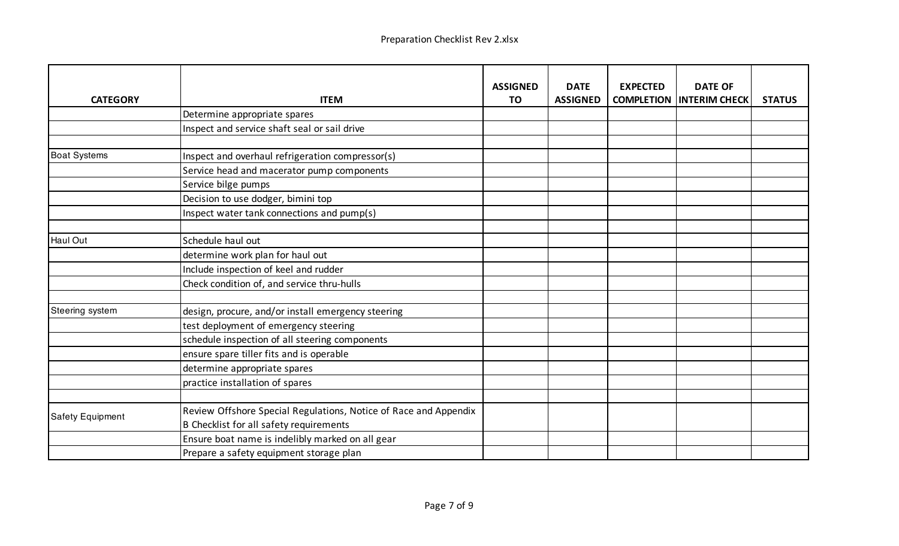| <b>CATEGORY</b>         | <b>ITEM</b>                                                                                                 | <b>ASSIGNED</b><br><b>TO</b> | <b>DATE</b><br><b>ASSIGNED</b> | <b>EXPECTED</b><br><b>COMPLETION</b> | <b>DATE OF</b><br><b>INTERIM CHECK</b> | <b>STATUS</b> |
|-------------------------|-------------------------------------------------------------------------------------------------------------|------------------------------|--------------------------------|--------------------------------------|----------------------------------------|---------------|
|                         | Determine appropriate spares                                                                                |                              |                                |                                      |                                        |               |
|                         | Inspect and service shaft seal or sail drive                                                                |                              |                                |                                      |                                        |               |
|                         |                                                                                                             |                              |                                |                                      |                                        |               |
| <b>Boat Systems</b>     | Inspect and overhaul refrigeration compressor(s)                                                            |                              |                                |                                      |                                        |               |
|                         | Service head and macerator pump components                                                                  |                              |                                |                                      |                                        |               |
|                         | Service bilge pumps                                                                                         |                              |                                |                                      |                                        |               |
|                         | Decision to use dodger, bimini top                                                                          |                              |                                |                                      |                                        |               |
|                         | Inspect water tank connections and pump(s)                                                                  |                              |                                |                                      |                                        |               |
|                         |                                                                                                             |                              |                                |                                      |                                        |               |
| <b>Haul Out</b>         | Schedule haul out                                                                                           |                              |                                |                                      |                                        |               |
|                         | determine work plan for haul out                                                                            |                              |                                |                                      |                                        |               |
|                         | Include inspection of keel and rudder                                                                       |                              |                                |                                      |                                        |               |
|                         | Check condition of, and service thru-hulls                                                                  |                              |                                |                                      |                                        |               |
|                         |                                                                                                             |                              |                                |                                      |                                        |               |
| Steering system         | design, procure, and/or install emergency steering                                                          |                              |                                |                                      |                                        |               |
|                         | test deployment of emergency steering                                                                       |                              |                                |                                      |                                        |               |
|                         | schedule inspection of all steering components                                                              |                              |                                |                                      |                                        |               |
|                         | ensure spare tiller fits and is operable                                                                    |                              |                                |                                      |                                        |               |
|                         | determine appropriate spares                                                                                |                              |                                |                                      |                                        |               |
|                         | practice installation of spares                                                                             |                              |                                |                                      |                                        |               |
|                         |                                                                                                             |                              |                                |                                      |                                        |               |
| <b>Safety Equipment</b> | Review Offshore Special Regulations, Notice of Race and Appendix<br>B Checklist for all safety requirements |                              |                                |                                      |                                        |               |
|                         | Ensure boat name is indelibly marked on all gear                                                            |                              |                                |                                      |                                        |               |
|                         | Prepare a safety equipment storage plan                                                                     |                              |                                |                                      |                                        |               |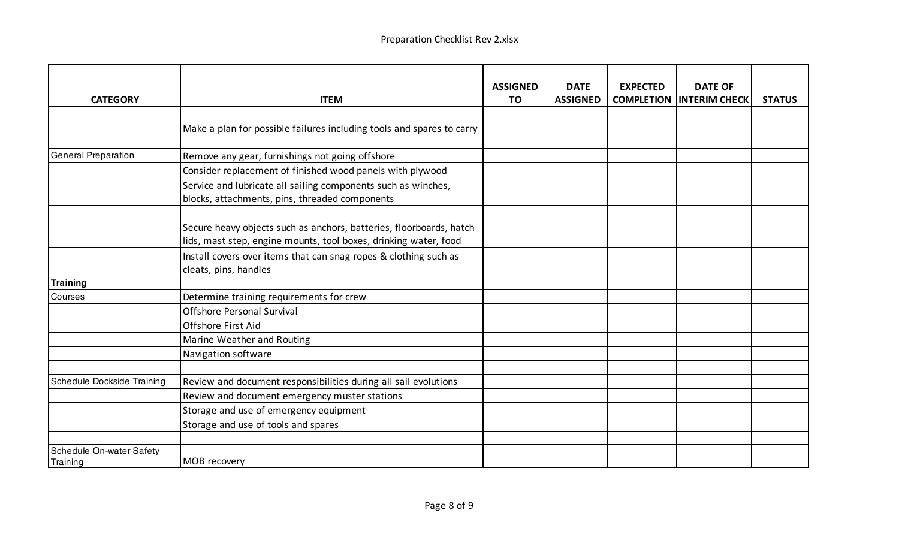| <b>CATEGORY</b>                 | <b>ITEM</b>                                                                                                                             | <b>ASSIGNED</b><br><b>TO</b> | <b>DATE</b><br><b>ASSIGNED</b> | <b>EXPECTED</b> | <b>DATE OF</b><br><b>COMPLETION INTERIM CHECK</b> | <b>STATUS</b> |
|---------------------------------|-----------------------------------------------------------------------------------------------------------------------------------------|------------------------------|--------------------------------|-----------------|---------------------------------------------------|---------------|
|                                 | Make a plan for possible failures including tools and spares to carry                                                                   |                              |                                |                 |                                                   |               |
|                                 |                                                                                                                                         |                              |                                |                 |                                                   |               |
| <b>General Preparation</b>      | Remove any gear, furnishings not going offshore                                                                                         |                              |                                |                 |                                                   |               |
|                                 | Consider replacement of finished wood panels with plywood                                                                               |                              |                                |                 |                                                   |               |
|                                 | Service and lubricate all sailing components such as winches,<br>blocks, attachments, pins, threaded components                         |                              |                                |                 |                                                   |               |
|                                 | Secure heavy objects such as anchors, batteries, floorboards, hatch<br>lids, mast step, engine mounts, tool boxes, drinking water, food |                              |                                |                 |                                                   |               |
|                                 | Install covers over items that can snag ropes & clothing such as<br>cleats, pins, handles                                               |                              |                                |                 |                                                   |               |
| <b>Training</b>                 |                                                                                                                                         |                              |                                |                 |                                                   |               |
| Courses                         | Determine training requirements for crew                                                                                                |                              |                                |                 |                                                   |               |
|                                 | <b>Offshore Personal Survival</b>                                                                                                       |                              |                                |                 |                                                   |               |
|                                 | Offshore First Aid                                                                                                                      |                              |                                |                 |                                                   |               |
|                                 | Marine Weather and Routing                                                                                                              |                              |                                |                 |                                                   |               |
|                                 | Navigation software                                                                                                                     |                              |                                |                 |                                                   |               |
|                                 |                                                                                                                                         |                              |                                |                 |                                                   |               |
| Schedule Dockside Training      | Review and document responsibilities during all sail evolutions                                                                         |                              |                                |                 |                                                   |               |
|                                 | Review and document emergency muster stations                                                                                           |                              |                                |                 |                                                   |               |
|                                 | Storage and use of emergency equipment                                                                                                  |                              |                                |                 |                                                   |               |
|                                 | Storage and use of tools and spares                                                                                                     |                              |                                |                 |                                                   |               |
| <b>Schedule On-water Safety</b> |                                                                                                                                         |                              |                                |                 |                                                   |               |
| Training                        | MOB recovery                                                                                                                            |                              |                                |                 |                                                   |               |